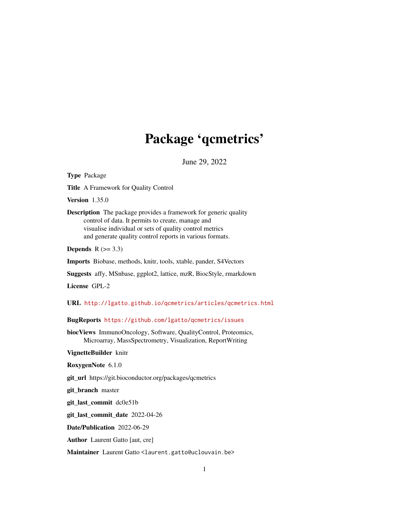# Package 'qcmetrics'

June 29, 2022

<span id="page-0-0"></span>Type Package

Title A Framework for Quality Control

Version 1.35.0

Description The package provides a framework for generic quality control of data. It permits to create, manage and visualise individual or sets of quality control metrics and generate quality control reports in various formats.

Depends  $R$  ( $>= 3.3$ )

Imports Biobase, methods, knitr, tools, xtable, pander, S4Vectors

Suggests affy, MSnbase, ggplot2, lattice, mzR, BiocStyle, rmarkdown

License GPL-2

URL <http://lgatto.github.io/qcmetrics/articles/qcmetrics.html>

BugReports <https://github.com/lgatto/qcmetrics/issues>

biocViews ImmunoOncology, Software, QualityControl, Proteomics, Microarray, MassSpectrometry, Visualization, ReportWriting

VignetteBuilder knitr

RoxygenNote 6.1.0

git\_url https://git.bioconductor.org/packages/qcmetrics

git branch master

git\_last\_commit dc0e51b

git\_last\_commit\_date 2022-04-26

Date/Publication 2022-06-29

Author Laurent Gatto [aut, cre]

Maintainer Laurent Gatto <laurent.gatto@uclouvain.be>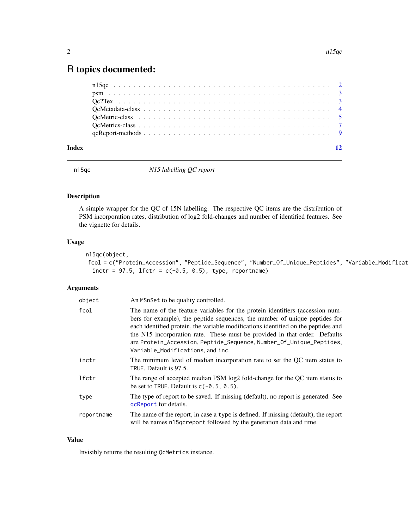## <span id="page-1-0"></span>R topics documented:

n15qc *N15 labelling QC report*

#### Description

A simple wrapper for the QC of 15N labelling. The respective QC items are the distribution of PSM incorporation rates, distribution of log2 fold-changes and number of identified features. See the vignette for details.

#### Usage

```
n15qc(object,
fcol = c("Protein_Accession", "Peptide_Sequence", "Number_Of_Unique_Peptides", "Variable_Modificat
  inctr = 97.5, lfctr = c(-0.5, 0.5), type, reportname)
```
#### Arguments

| object     | An MSnSet to be quality controlled.                                                                                                                                                                                                                                                                                                                                                                                                         |
|------------|---------------------------------------------------------------------------------------------------------------------------------------------------------------------------------------------------------------------------------------------------------------------------------------------------------------------------------------------------------------------------------------------------------------------------------------------|
| fcol       | The name of the feature variables for the protein identifiers (accession num-<br>bers for example), the peptide sequences, the number of unique peptides for<br>each identified protein, the variable modifications identified on the peptides and<br>the N15 incorporation rate. These must be provided in that order. Defaults<br>are Protein_Accession, Peptide_Sequence, Number_Of_Unique_Peptides,<br>Variable_Modifications, and inc. |
| inctr      | The minimum level of median incorporation rate to set the QC item status to<br>TRUE. Default is 97.5.                                                                                                                                                                                                                                                                                                                                       |
| lfctr      | The range of accepted median PSM log2 fold-change for the QC item status to<br>be set to TRUE. Default is $c(-0.5, 0.5)$ .                                                                                                                                                                                                                                                                                                                  |
| type       | The type of report to be saved. If missing (default), no report is generated. See<br>gcReport for details.                                                                                                                                                                                                                                                                                                                                  |
| reportname | The name of the report, in case a type is defined. If missing (default), the report<br>will be names n15 qcreport followed by the generation data and time.                                                                                                                                                                                                                                                                                 |

#### Value

Invisibly returns the resulting QcMetrics instance.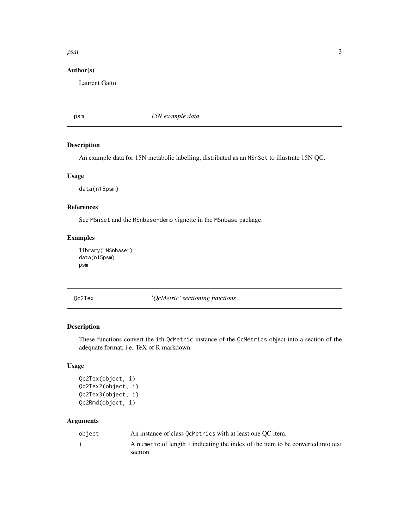#### <span id="page-2-0"></span>psm 3

#### Author(s)

Laurent Gatto

psm *15N example data*

#### Description

An example data for 15N metabolic labelling, distributed as an MSnSet to illustrate 15N QC.

#### Usage

data(n15psm)

#### References

See MSnSet and the MSnbase-demo vignette in the MSnbase package.

#### Examples

```
library("MSnbase")
data(n15psm)
psm
```
Qc2Tex *'QcMetric' sectioning functions*

### <span id="page-2-1"></span>Description

These functions convert the ith QcMetric instance of the QcMetrics object into a section of the adequate format, i.e. TeX of R markdown.

#### Usage

```
Qc2Tex(object, i)
Qc2Tex2(object, i)
Qc2Tex3(object, i)
Qc2Rmd(object, i)
```
#### Arguments

| object | An instance of class 0 cMetrics with at least one OC item.                                   |
|--------|----------------------------------------------------------------------------------------------|
|        | A numeric of length 1 indicating the index of the item to be converted into text<br>section. |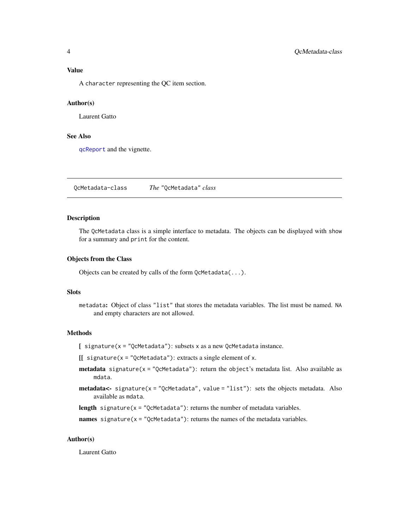<span id="page-3-0"></span>

A character representing the QC item section.

#### Author(s)

Laurent Gatto

#### See Also

[qcReport](#page-8-1) and the vignette.

<span id="page-3-1"></span>QcMetadata-class *The* "QcMetadata" *class*

#### Description

The QcMetadata class is a simple interface to metadata. The objects can be displayed with show for a summary and print for the content.

#### Objects from the Class

Objects can be created by calls of the form QcMetadata(...).

#### **Slots**

metadata: Object of class "list" that stores the metadata variables. The list must be named. NA and empty characters are not allowed.

#### Methods

 $\int$  signature(x = "QcMetadata"): subsets x as a new QcMetadata instance.

 $[[$  signature(x = "QcMetadata"): extracts a single element of x.

- **metadata** signature( $x = "QcMetadata")$ : return the object's metadata list. Also available as mdata.
- metadata<- signature(x = "QcMetadata", value = "list"): sets the objects metadata. Also available as mdata.

length signature( $x =$  "QcMetadata"): returns the number of metadata variables.

names signature( $x =$  "QcMetadata"): returns the names of the metadata variables.

#### Author(s)

Laurent Gatto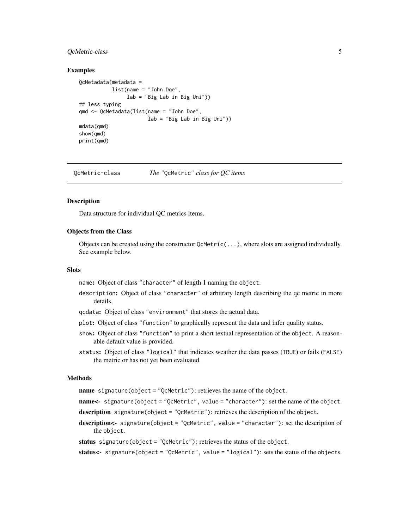#### <span id="page-4-0"></span>QcMetric-class 5

#### Examples

```
QcMetadata(metadata =
           list(name = "John Doe",
                lab = "Big Lab in Big Uni"))
## less typing
qmd <- QcMetadata(list(name = "John Doe",
                       lab = "Big Lab in Big Uni"))
mdata(qmd)
show(qmd)
print(qmd)
```
QcMetric-class *The* "QcMetric" *class for QC items*

#### <span id="page-4-1"></span>Description

Data structure for individual QC metrics items.

#### Objects from the Class

Objects can be created using the constructor  $Q$ cMetric( $\dots$ ), where slots are assigned individually. See example below.

#### **Slots**

name: Object of class "character" of length 1 naming the object.

- description: Object of class "character" of arbitrary length describing the qc metric in more details.
- qcdata: Object of class "environment" that stores the actual data.
- plot: Object of class "function" to graphically represent the data and infer quality status.
- show: Object of class "function" to print a short textual representation of the object. A reasonable default value is provided.
- status: Object of class "logical" that indicates weather the data passes (TRUE) or fails (FALSE) the metric or has not yet been evaluated.

#### Methods

name signature(object = "QcMetric"): retrieves the name of the object.

- name<- signature(object = "QcMetric", value = "character"): set the name of the object.
- description signature(object = "QcMetric"): retrieves the description of the object.
- description<- signature(object = "QcMetric", value = "character"): set the description of the object.

```
status signature(object = "QcMetric"): retrieves the status of the object.
```
status<- signature(object = "QcMetric", value = "logical"): sets the status of the objects.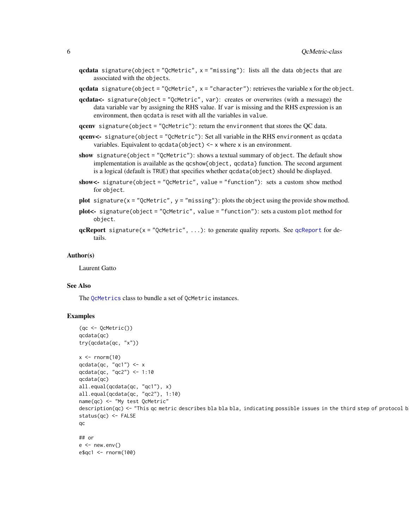<span id="page-5-0"></span>qcdata signature(object = "QcMetric",  $x =$  "missing"): lists all the data objects that are associated with the objects.

 $qcdata$  signature(object = "QcMetric",  $x =$  "character"): retrieves the variable x for the object.

- qcdata<- signature(object = "QcMetric", var): creates or overwrites (with a message) the data variable var by assigning the RHS value. If var is missing and the RHS expression is an environment, then qcdata is reset with all the variables in value.
- qcenv signature(object = "QcMetric"): return the environment that stores the QC data.
- qcenv<- signature(object = "QcMetric"): Set all variable in the RHS environment as qcdata variables. Equivalent to  $qcdata(object) < -x$  where x is an environment.
- show signature(object = "QcMetric"): shows a textual summary of object. The default show implementation is available as the qcshow{object, qcdata} function. The second argument is a logical (default is TRUE) that specifies whether qcdata(object) should be displayed.
- show<- signature(object = "QcMetric", value = "function"): sets a custom show method for object.
- plot signature( $x =$  "QcMetric",  $y =$  "missing"): plots the object using the provide show method.
- plot<- signature(object = "QcMetric", value = "function"): sets a custom plot method for object.
- **[qcReport](#page-8-1)** signature( $x =$  "QcMetric", ...): to generate quality reports. See qcReport for details.

#### Author(s)

Laurent Gatto

#### See Also

The [QcMetrics](#page-6-1) class to bundle a set of QcMetric instances.

#### Examples

```
(qc <- QcMetric())
qcdata(qc)
try(qcdata(qc, "x"))
x \le - rnorm(10)
qcdata(qc, "qc1") \leq xqcdata(qc, "qc2") <- 1:10
qcdata(qc)
all.equal(qcdata(qc, "qc1"), x)
all.equal(qcdata(qc, "qc2"), 1:10)
name(qc) <- "My test QcMetric"
description(qc) <- "This qc metric describes bla bla bla, indicating possible issues in the third step of protocol b
status(qc) <- FALSE
qc
## or
e < - new.env()
e$qc1 <- rnorm(100)
```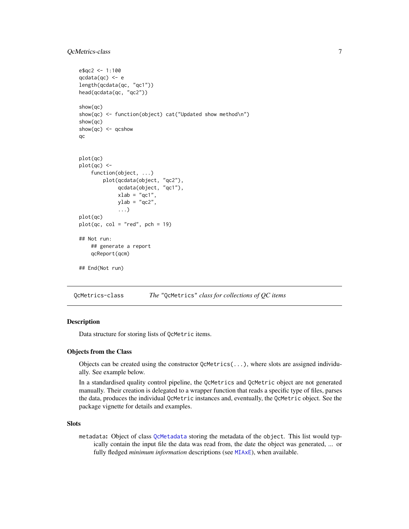#### <span id="page-6-0"></span>QcMetrics-class 7

```
e$qc2 <- 1:100
qcdata(qc) <- e
length(qcdata(qc, "qc1"))
head(qcdata(qc, "qc2"))
show(qc)
show(qc) <- function(object) cat("Updated show method\n")
show(qc)
show(qc) <- qcshow
qc
plot(qc)
plot(qc) <-
    function(object, ...)
        plot(qcdata(object, "qc2"),
             qcdata(object, "qc1"),
             xlab = "qc1",ylab = "qc2",...)
plot(qc)
plot(qc, col = "red", pch = 19)## Not run:
    ## generate a report
    qcReport(qcm)
## End(Not run)
```
<span id="page-6-2"></span>QcMetrics-class *The* "QcMetrics" *class for collections of QC items*

#### <span id="page-6-1"></span>Description

Data structure for storing lists of QcMetric items.

#### Objects from the Class

Objects can be created using the constructor  $Q$ cMetrics( $\ldots$ ), where slots are assigned individually. See example below.

In a standardised quality control pipeline, the QcMetrics and QcMetric object are not generated manually. Their creation is delegated to a wrapper function that reads a specific type of files, parses the data, produces the individual QcMetric instances and, eventually, the QcMetric object. See the package vignette for details and examples.

#### **Slots**

metadata: Object of class [QcMetadata](#page-3-1) storing the metadata of the object. This list would typically contain the input file the data was read from, the date the object was generated, ... or fully fledged *minimum information* descriptions (see [MIAxE](#page-0-0)), when available.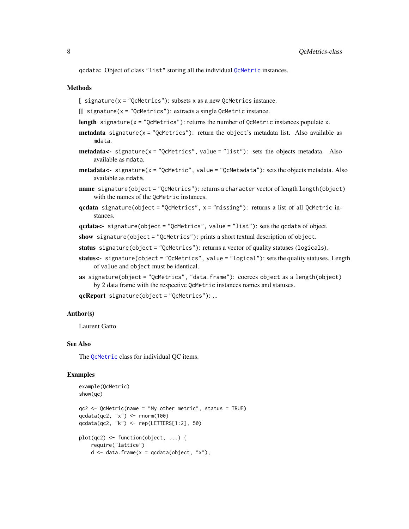<span id="page-7-0"></span>qcdata: Object of class "list" storing all the individual [QcMetric](#page-4-1) instances.

#### Methods

 $\int$  signature(x = "QcMetrics"): subsets x as a new QcMetrics instance.

```
[ signature(x = "QcMetrics"): extracts a single QcMetric instance.
```
- length signature( $x =$  "QcMetrics"): returns the number of QcMetric instances populate x.
- **metadata** signature( $x =$  "QcMetrics"): return the object's metadata list. Also available as mdata.
- **metadata<-** signature( $x = "Qc$ Metrics", value = "list"): sets the objects metadata. Also available as mdata.
- metadata<- signature(x = "QcMetric", value = "QcMetadata"): sets the objects metadata. Also available as mdata.
- name signature(object = "QcMetrics"): returns a character vector of length length(object) with the names of the QcMetric instances.
- qcdata signature(object = "QcMetrics", x = "missing"): returns a list of all QcMetric instances.

qcdata<- signature(object = "QcMetrics", value = "list"): sets the qcdata of object.

- show signature(object = "QcMetrics"): prints a short textual description of object.
- status signature(object = "QcMetrics"): returns a vector of quality statuses (logicals).
- status<- signature(object = "QcMetrics", value = "logical"): sets the quality statuses. Length of value and object must be identical.
- as signature(object = "QcMetrics", "data.frame"): coerces object as a length(object) by 2 data frame with the respective QcMetric instances names and statuses.

qcReport signature(object = "QcMetrics"): ...

#### Author(s)

Laurent Gatto

#### See Also

The [QcMetric](#page-4-1) class for individual QC items.

#### Examples

```
example(QcMetric)
show(qc)
qc2 <- QcMetric(name = "My other metric", status = TRUE)
qcdata(qc2, "x") <- rnorm(100)
qcdata(qc2, "k") <- rep(LETTERS[1:2], 50)
plot(qc2) <- function(object, ...) {
   require("lattice")
   d \leq data.frame(x = qcdata(object, "x"),
```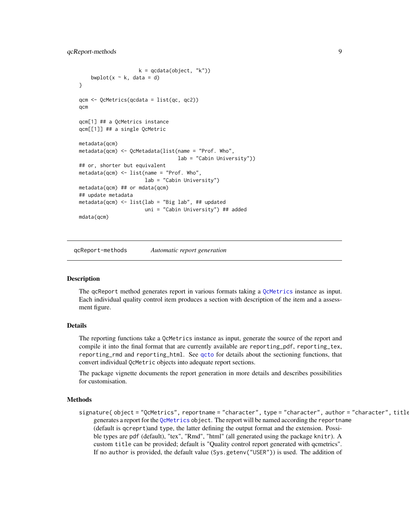```
k = \text{qcdata}(\text{object}, "k"))bwplot(x \sim k, data = d)
}
qcm <- QcMetrics(qcdata = list(qc, qc2))
qcm
qcm[1] ## a QcMetrics instance
qcm[[1]] ## a single QcMetric
metadata(qcm)
metadata(qcm) <- QcMetadata(list(name = "Prof. Who",
                                  lab = "Cabin University"))
## or, shorter but equivalent
metadata(qcm) <- list(name = "Prof. Who",
                      lab = "Cabin University")
metadata(qcm) ## or mdata(qcm)
## update metadata
metadata(qcm) <- list(lab = "Big lab", ## updated
                      uni = "Cabin University") ## added
mdata(qcm)
```
qcReport-methods *Automatic report generation*

#### <span id="page-8-1"></span>Description

The qcReport method generates report in various formats taking a [QcMetrics](#page-6-2) instance as input. Each individual quality control item produces a section with description of the item and a assessment figure.

#### Details

The reporting functions take a QcMetrics instance as input, generate the source of the report and compile it into the final format that are currently available are reporting\_pdf, reporting\_tex, reporting\_rmd and reporting\_html. See [qcto](#page-2-1) for details about the sectioning functions, that convert individual QcMetric objects into adequate report sections.

The package vignette documents the report generation in more details and describes possibilities for customisation.

#### Methods

signature(object = "QcMetrics", reportname = "character", type = "character", author = "character", title generates a report for the [QcMetrics](#page-6-1) object. The report will be named according the reportname (default is qcreprt)and type, the latter defining the output format and the extension. Possible types are pdf (default), "tex", "Rmd", "html" (all generated using the package knitr). A custom title can be provided; default is "Quality control report generated with qcmetrics". If no author is provided, the default value (Sys.getenv("USER")) is used. The addition of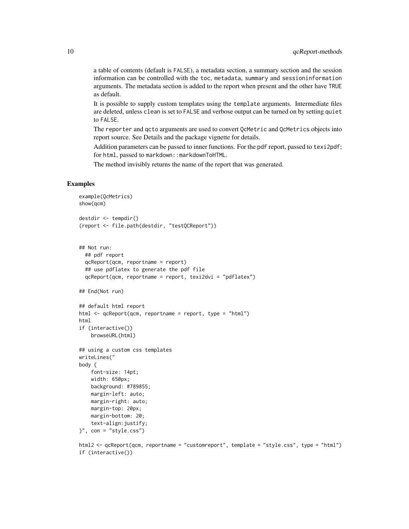a table of contents (default is FALSE), a metadata section, a summary section and the session information can be controlled with the toc, metadata, summary and sessioninformation arguments. The metadata section is added to the report when present and the other have TRUE as default.

It is possible to supply custom templates using the template arguments. Intermediate files are deleted, unless clean is set to FALSE and verbose output can be turned on by setting quiet to FALSE.

The reporter and qcto arguments are used to convert QcMetric and QcMetrics objects into report source. See Details and the package vignette for details.

Addition parameters can be passed to inner functions. For the pdf report, passed to texi2pdf; for html, passed to markdown:: markdownToHTML.

The method invisibly returns the name of the report that was generated.

#### Examples

```
example(QcMetrics)
show(qcm)
destdir <- tempdir()
(report <- file.path(destdir, "testQCReport"))
## Not run:
  ## pdf report
  qcReport(qcm, reportname = report)
  ## use pdflatex to generate the pdf file
  qcReport(qcm, reportname = report, texi2dvi = "pdflatex")
## End(Not run)
## default html report
html <- qcReport(qcm, reportname = report, type = "html")
html
if (interactive())
    browseURL(html)
## using a custom css templates
writeLines("
body {
    font-size: 14pt;
    width: 650px;
   background: #789855;
   margin-left: auto;
   margin-right: auto;
   margin-top: 20px;
   margin-bottom: 20;
    text-align:justify;
}", con = "style.css")
```
html2 <- qcReport(qcm, reportname = "customreport", template = "style.css", type = "html") if (interactive())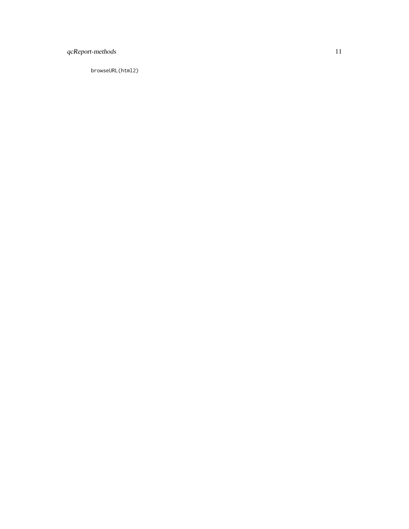### qcReport-methods 11

browseURL(html2)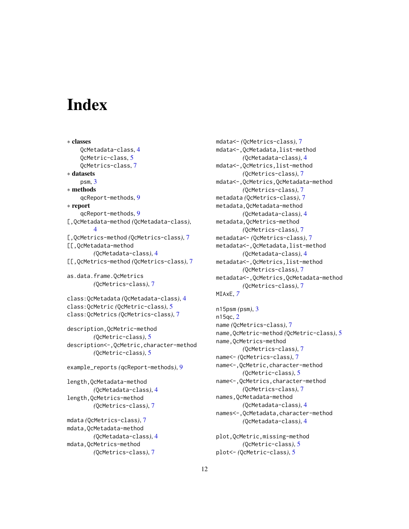# <span id="page-11-0"></span>**Index**

∗ classes QcMetadata-class, [4](#page-3-0) QcMetric-class, [5](#page-4-0) QcMetrics-class, [7](#page-6-0) ∗ datasets psm, [3](#page-2-0) ∗ methods qcReport-methods, [9](#page-8-0) ∗ report qcReport-methods, [9](#page-8-0) [,QcMetadata-method *(*QcMetadata-class*)*, [4](#page-3-0) [,QcMetrics-method *(*QcMetrics-class*)*, [7](#page-6-0) [[,QcMetadata-method *(*QcMetadata-class*)*, [4](#page-3-0) [[,QcMetrics-method *(*QcMetrics-class*)*, [7](#page-6-0) as.data.frame.QcMetrics *(*QcMetrics-class*)*, [7](#page-6-0) class:QcMetadata *(*QcMetadata-class*)*, [4](#page-3-0) class:QcMetric *(*QcMetric-class*)*, [5](#page-4-0) class:QcMetrics *(*QcMetrics-class*)*, [7](#page-6-0) description,QcMetric-method *(*QcMetric-class*)*, [5](#page-4-0) description<-,QcMetric,character-method *(*QcMetric-class*)*, [5](#page-4-0) example\_reports *(*qcReport-methods*)*, [9](#page-8-0) length,QcMetadata-method *(*QcMetadata-class*)*, [4](#page-3-0) length,QcMetrics-method *(*QcMetrics-class*)*, [7](#page-6-0) mdata *(*QcMetrics-class*)*, [7](#page-6-0)

```
mdata,QcMetadata-method
        (QcMetadata-class), 4
mdata,QcMetrics-method
        (QcMetrics-class), 7
```
mdata<- *(*QcMetrics-class*)*, [7](#page-6-0) mdata<-,QcMetadata,list-method *(*QcMetadata-class*)*, [4](#page-3-0) mdata<-,QcMetrics,list-method *(*QcMetrics-class*)*, [7](#page-6-0) mdata<-,QcMetrics,QcMetadata-method *(*QcMetrics-class*)*, [7](#page-6-0) metadata *(*QcMetrics-class*)*, [7](#page-6-0) metadata,QcMetadata-method *(*QcMetadata-class*)*, [4](#page-3-0) metadata,QcMetrics-method *(*QcMetrics-class*)*, [7](#page-6-0) metadata<- *(*QcMetrics-class*)*, [7](#page-6-0) metadata<-,QcMetadata,list-method *(*QcMetadata-class*)*, [4](#page-3-0) metadata<-,QcMetrics,list-method *(*QcMetrics-class*)*, [7](#page-6-0) metadata<-,QcMetrics,QcMetadata-method *(*QcMetrics-class*)*, [7](#page-6-0) MIAxE, *[7](#page-6-0)*

n15psm *(*psm*)*, [3](#page-2-0) n15qc, [2](#page-1-0) name *(*QcMetrics-class*)*, [7](#page-6-0) name,QcMetric-method *(*QcMetric-class*)*, [5](#page-4-0) name,QcMetrics-method *(*QcMetrics-class*)*, [7](#page-6-0) name<- *(*QcMetrics-class*)*, [7](#page-6-0) name<-,QcMetric,character-method *(*QcMetric-class*)*, [5](#page-4-0) name<-,QcMetrics,character-method *(*QcMetrics-class*)*, [7](#page-6-0) names,QcMetadata-method *(*QcMetadata-class*)*, [4](#page-3-0) names<-,QcMetadata,character-method *(*QcMetadata-class*)*, [4](#page-3-0) plot,QcMetric,missing-method

```
(QcMetric-class), 5
plot<- (QcMetric-class), 5
```